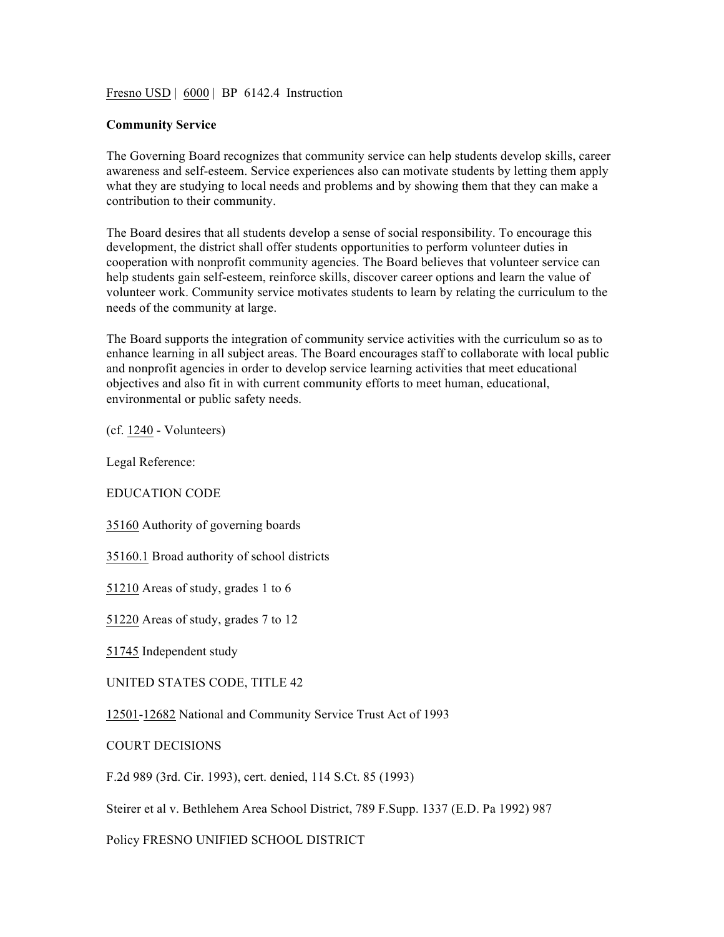Fresno USD | 6000 | BP 6142.4 Instruction

## **Community Service**

The Governing Board recognizes that community service can help students develop skills, career awareness and self-esteem. Service experiences also can motivate students by letting them apply what they are studying to local needs and problems and by showing them that they can make a contribution to their community.

The Board desires that all students develop a sense of social responsibility. To encourage this development, the district shall offer students opportunities to perform volunteer duties in cooperation with nonprofit community agencies. The Board believes that volunteer service can help students gain self-esteem, reinforce skills, discover career options and learn the value of volunteer work. Community service motivates students to learn by relating the curriculum to the needs of the community at large.

The Board supports the integration of community service activities with the curriculum so as to enhance learning in all subject areas. The Board encourages staff to collaborate with local public and nonprofit agencies in order to develop service learning activities that meet educational objectives and also fit in with current community efforts to meet human, educational, environmental or public safety needs.

(cf. 1240 - Volunteers)

Legal Reference:

EDUCATION CODE

35160 Authority of governing boards

35160.1 Broad authority of school districts

51210 Areas of study, grades 1 to 6

51220 Areas of study, grades 7 to 12

51745 Independent study

UNITED STATES CODE, TITLE 42

12501-12682 National and Community Service Trust Act of 1993

COURT DECISIONS

F.2d 989 (3rd. Cir. 1993), cert. denied, 114 S.Ct. 85 (1993)

Steirer et al v. Bethlehem Area School District, 789 F.Supp. 1337 (E.D. Pa 1992) 987

Policy FRESNO UNIFIED SCHOOL DISTRICT